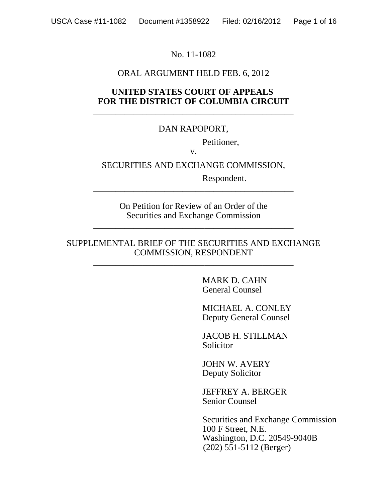## No. 11-1082

## ORAL ARGUMENT HELD FEB. 6, 2012

## **UNITED STATES COURT OF APPEALS FOR THE DISTRICT OF COLUMBIA CIRCUIT** \_\_\_\_\_\_\_\_\_\_\_\_\_\_\_\_\_\_\_\_\_\_\_\_\_\_\_\_\_\_\_\_\_\_\_\_\_\_\_\_\_\_\_\_\_

# DAN RAPOPORT,

Petitioner,

v.

SECURITIES AND EXCHANGE COMMISSION,

\_\_\_\_\_\_\_\_\_\_\_\_\_\_\_\_\_\_\_\_\_\_\_\_\_\_\_\_\_\_\_\_\_\_\_\_\_\_\_\_\_\_\_\_\_

Respondent.

On Petition for Review of an Order of the Securities and Exchange Commission

\_\_\_\_\_\_\_\_\_\_\_\_\_\_\_\_\_\_\_\_\_\_\_\_\_\_\_\_\_\_\_\_\_\_\_\_\_\_\_\_\_\_\_\_\_

#### SUPPLEMENTAL BRIEF OF THE SECURITIES AND EXCHANGE COMMISSION, RESPONDENT

\_\_\_\_\_\_\_\_\_\_\_\_\_\_\_\_\_\_\_\_\_\_\_\_\_\_\_\_\_\_\_\_\_\_\_\_\_\_\_\_\_\_\_\_\_

MARK D. CAHN General Counsel

MICHAEL A. CONLEY Deputy General Counsel

JACOB H. STILLMAN Solicitor

JOHN W. AVERY Deputy Solicitor

JEFFREY A. BERGER Senior Counsel

 Securities and Exchange Commission 100 F Street, N.E. Washington, D.C. 20549-9040B (202) 551-5112 (Berger)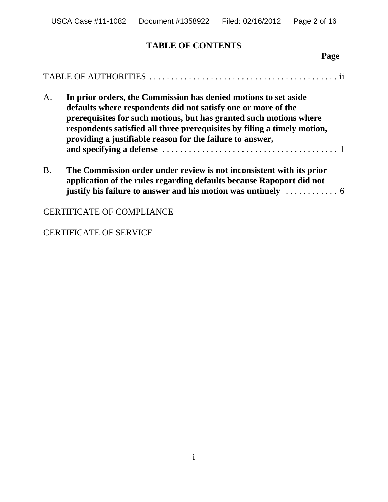# **TABLE OF CONTENTS**

| A.        | In prior orders, the Commission has denied motions to set aside<br>defaults where respondents did not satisfy one or more of the<br>prerequisites for such motions, but has granted such motions where<br>respondents satisfied all three prerequisites by filing a timely motion,<br>providing a justifiable reason for the failure to answer, |
|-----------|-------------------------------------------------------------------------------------------------------------------------------------------------------------------------------------------------------------------------------------------------------------------------------------------------------------------------------------------------|
| <b>B.</b> | The Commission order under review is not inconsistent with its prior<br>application of the rules regarding defaults because Rapoport did not<br>justify his failure to answer and his motion was untimely $\dots\dots\dots\dots\dots$                                                                                                           |
|           | <b>CERTIFICATE OF COMPLIANCE</b>                                                                                                                                                                                                                                                                                                                |

# CERTIFICATE OF SERVICE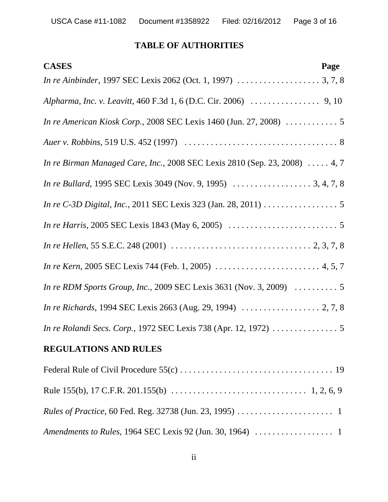## **TABLE OF AUTHORITIES**

| <b>CASES</b>                                                                                                                        | Page |
|-------------------------------------------------------------------------------------------------------------------------------------|------|
|                                                                                                                                     |      |
|                                                                                                                                     |      |
| In re American Kiosk Corp., 2008 SEC Lexis 1460 (Jun. 27, 2008)  5                                                                  |      |
|                                                                                                                                     |      |
| In re Birman Managed Care, Inc., 2008 SEC Lexis 2810 (Sep. 23, 2008)  4, 7                                                          |      |
|                                                                                                                                     |      |
|                                                                                                                                     |      |
|                                                                                                                                     |      |
| In re Hellen, 55 S.E.C. 248 (2001) $\ldots \ldots \ldots \ldots \ldots \ldots \ldots \ldots \ldots \ldots \ldots \ldots$ 2, 3, 7, 8 |      |
|                                                                                                                                     |      |
| In re RDM Sports Group, Inc., 2009 SEC Lexis 3631 (Nov. 3, 2009)  5                                                                 |      |
|                                                                                                                                     |      |
|                                                                                                                                     |      |
| <b>REGULATIONS AND RULES</b>                                                                                                        |      |
|                                                                                                                                     |      |
|                                                                                                                                     |      |
|                                                                                                                                     |      |
|                                                                                                                                     |      |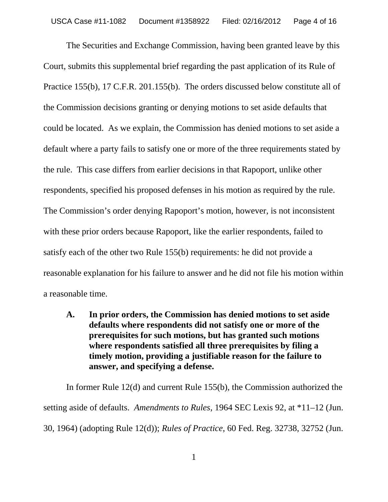The Securities and Exchange Commission, having been granted leave by this Court, submits this supplemental brief regarding the past application of its Rule of Practice 155(b), 17 C.F.R. 201.155(b). The orders discussed below constitute all of the Commission decisions granting or denying motions to set aside defaults that could be located. As we explain, the Commission has denied motions to set aside a default where a party fails to satisfy one or more of the three requirements stated by the rule. This case differs from earlier decisions in that Rapoport, unlike other respondents, specified his proposed defenses in his motion as required by the rule. The Commission's order denying Rapoport's motion, however, is not inconsistent with these prior orders because Rapoport, like the earlier respondents, failed to satisfy each of the other two Rule 155(b) requirements: he did not provide a reasonable explanation for his failure to answer and he did not file his motion within a reasonable time.

**A. In prior orders, the Commission has denied motions to set aside defaults where respondents did not satisfy one or more of the prerequisites for such motions, but has granted such motions where respondents satisfied all three prerequisites by filing a timely motion, providing a justifiable reason for the failure to answer, and specifying a defense.**

In former Rule 12(d) and current Rule 155(b), the Commission authorized the setting aside of defaults. *Amendments to Rules*, 1964 SEC Lexis 92, at \*11–12 (Jun. 30, 1964) (adopting Rule 12(d)); *Rules of Practice*, 60 Fed. Reg. 32738, 32752 (Jun.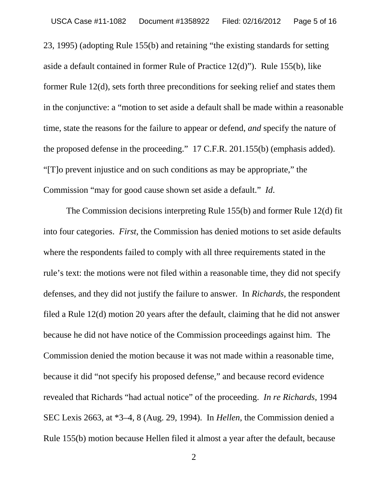23, 1995) (adopting Rule 155(b) and retaining "the existing standards for setting aside a default contained in former Rule of Practice 12(d)"). Rule 155(b), like former Rule 12(d), sets forth three preconditions for seeking relief and states them in the conjunctive: a "motion to set aside a default shall be made within a reasonable time, state the reasons for the failure to appear or defend, *and* specify the nature of the proposed defense in the proceeding." 17 C.F.R. 201.155(b) (emphasis added). "[T]o prevent injustice and on such conditions as may be appropriate," the Commission "may for good cause shown set aside a default." *Id*.

The Commission decisions interpreting Rule 155(b) and former Rule 12(d) fit into four categories. *First*, the Commission has denied motions to set aside defaults where the respondents failed to comply with all three requirements stated in the rule's text: the motions were not filed within a reasonable time, they did not specify defenses, and they did not justify the failure to answer. In *Richards*, the respondent filed a Rule 12(d) motion 20 years after the default, claiming that he did not answer because he did not have notice of the Commission proceedings against him. The Commission denied the motion because it was not made within a reasonable time, because it did "not specify his proposed defense," and because record evidence revealed that Richards "had actual notice" of the proceeding. *In re Richards*, 1994 SEC Lexis 2663, at \*3–4, 8 (Aug. 29, 1994). In *Hellen*, the Commission denied a Rule 155(b) motion because Hellen filed it almost a year after the default, because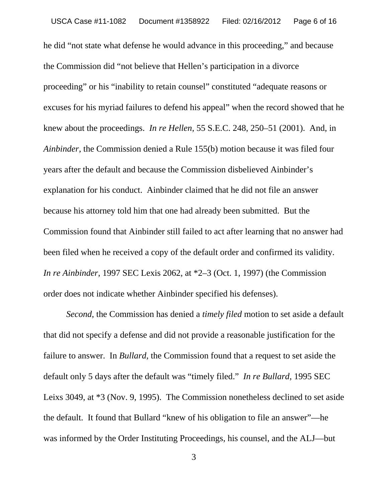he did "not state what defense he would advance in this proceeding," and because the Commission did "not believe that Hellen's participation in a divorce proceeding" or his "inability to retain counsel" constituted "adequate reasons or excuses for his myriad failures to defend his appeal" when the record showed that he knew about the proceedings. *In re Hellen*, 55 S.E.C. 248, 250–51 (2001). And, in *Ainbinder*, the Commission denied a Rule 155(b) motion because it was filed four years after the default and because the Commission disbelieved Ainbinder's explanation for his conduct. Ainbinder claimed that he did not file an answer because his attorney told him that one had already been submitted. But the Commission found that Ainbinder still failed to act after learning that no answer had been filed when he received a copy of the default order and confirmed its validity. *In re Ainbinder*, 1997 SEC Lexis 2062, at \*2–3 (Oct. 1, 1997) (the Commission order does not indicate whether Ainbinder specified his defenses).

*Second*, the Commission has denied a *timely filed* motion to set aside a default that did not specify a defense and did not provide a reasonable justification for the failure to answer. In *Bullard*, the Commission found that a request to set aside the default only 5 days after the default was "timely filed." *In re Bullard*, 1995 SEC Leixs 3049, at \*3 (Nov. 9, 1995). The Commission nonetheless declined to set aside the default. It found that Bullard "knew of his obligation to file an answer"—he was informed by the Order Instituting Proceedings, his counsel, and the ALJ—but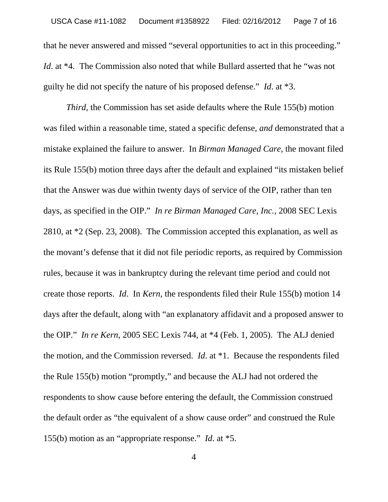that he never answered and missed "several opportunities to act in this proceeding." *Id.* at \*4. The Commission also noted that while Bullard asserted that he "was not guilty he did not specify the nature of his proposed defense." *Id*. at \*3.

*Third*, the Commission has set aside defaults where the Rule 155(b) motion was filed within a reasonable time, stated a specific defense, *and* demonstrated that a mistake explained the failure to answer. In *Birman Managed Care*, the movant filed its Rule 155(b) motion three days after the default and explained "its mistaken belief that the Answer was due within twenty days of service of the OIP, rather than ten days, as specified in the OIP." *In re Birman Managed Care, Inc.*, 2008 SEC Lexis 2810, at \*2 (Sep. 23, 2008). The Commission accepted this explanation, as well as the movant's defense that it did not file periodic reports, as required by Commission rules, because it was in bankruptcy during the relevant time period and could not create those reports. *Id*. In *Kern*, the respondents filed their Rule 155(b) motion 14 days after the default, along with "an explanatory affidavit and a proposed answer to the OIP." *In re Kern*, 2005 SEC Lexis 744, at \*4 (Feb. 1, 2005). The ALJ denied the motion, and the Commission reversed. *Id*. at \*1. Because the respondents filed the Rule 155(b) motion "promptly," and because the ALJ had not ordered the respondents to show cause before entering the default, the Commission construed the default order as "the equivalent of a show cause order" and construed the Rule 155(b) motion as an "appropriate response." *Id*. at \*5.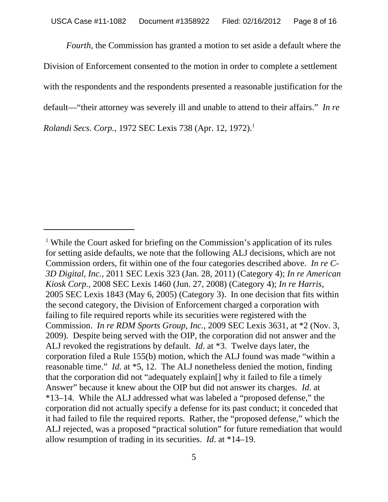*Fourth*, the Commission has granted a motion to set aside a default where the Division of Enforcement consented to the motion in order to complete a settlement with the respondents and the respondents presented a reasonable justification for the default—"their attorney was severely ill and unable to attend to their affairs." *In re Rolandi Secs. Corp.*, 1972 SEC Lexis 738 (Apr. 12, 1972).<sup>1</sup>

<sup>&</sup>lt;sup>1</sup> While the Court asked for briefing on the Commission's application of its rules for setting aside defaults, we note that the following ALJ decisions, which are not Commission orders, fit within one of the four categories described above. *In re C-3D Digital, Inc.*, 2011 SEC Lexis 323 (Jan. 28, 2011) (Category 4); *In re American Kiosk Corp.*, 2008 SEC Lexis 1460 (Jun. 27, 2008) (Category 4); *In re Harris*, 2005 SEC Lexis 1843 (May 6, 2005) (Category 3). In one decision that fits within the second category, the Division of Enforcement charged a corporation with failing to file required reports while its securities were registered with the Commission. *In re RDM Sports Group, Inc.*, 2009 SEC Lexis 3631, at \*2 (Nov. 3, 2009). Despite being served with the OIP, the corporation did not answer and the ALJ revoked the registrations by default. *Id*. at \*3. Twelve days later, the corporation filed a Rule 155(b) motion, which the ALJ found was made "within a reasonable time." *Id*. at \*5, 12. The ALJ nonetheless denied the motion, finding that the corporation did not "adequately explain[] why it failed to file a timely Answer" because it knew about the OIP but did not answer its charges. *Id*. at \*13–14. While the ALJ addressed what was labeled a "proposed defense," the corporation did not actually specify a defense for its past conduct; it conceded that it had failed to file the required reports. Rather, the "proposed defense," which the ALJ rejected, was a proposed "practical solution" for future remediation that would allow resumption of trading in its securities. *Id*. at \*14–19.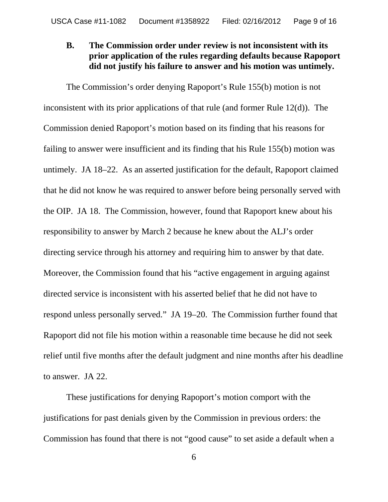# **B. The Commission order under review is not inconsistent with its prior application of the rules regarding defaults because Rapoport did not justify his failure to answer and his motion was untimely.**

The Commission's order denying Rapoport's Rule 155(b) motion is not inconsistent with its prior applications of that rule (and former Rule 12(d)). The Commission denied Rapoport's motion based on its finding that his reasons for failing to answer were insufficient and its finding that his Rule 155(b) motion was untimely. JA 18–22. As an asserted justification for the default, Rapoport claimed that he did not know he was required to answer before being personally served with the OIP. JA 18. The Commission, however, found that Rapoport knew about his responsibility to answer by March 2 because he knew about the ALJ's order directing service through his attorney and requiring him to answer by that date. Moreover, the Commission found that his "active engagement in arguing against directed service is inconsistent with his asserted belief that he did not have to respond unless personally served." JA 19–20. The Commission further found that Rapoport did not file his motion within a reasonable time because he did not seek relief until five months after the default judgment and nine months after his deadline to answer. JA 22.

These justifications for denying Rapoport's motion comport with the justifications for past denials given by the Commission in previous orders: the Commission has found that there is not "good cause" to set aside a default when a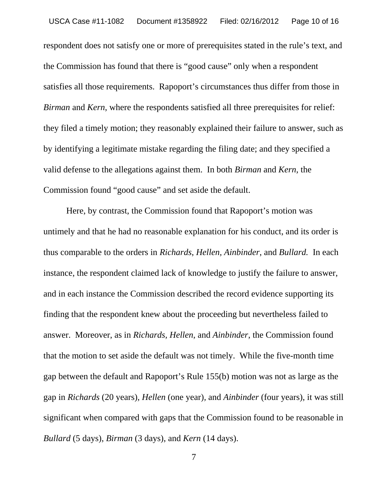respondent does not satisfy one or more of prerequisites stated in the rule's text, and the Commission has found that there is "good cause" only when a respondent satisfies all those requirements. Rapoport's circumstances thus differ from those in *Birman* and *Kern*, where the respondents satisfied all three prerequisites for relief: they filed a timely motion; they reasonably explained their failure to answer, such as by identifying a legitimate mistake regarding the filing date; and they specified a valid defense to the allegations against them. In both *Birman* and *Kern*, the Commission found "good cause" and set aside the default.

Here, by contrast, the Commission found that Rapoport's motion was untimely and that he had no reasonable explanation for his conduct, and its order is thus comparable to the orders in *Richards*, *Hellen, Ainbinder*, and *Bullard.* In each instance, the respondent claimed lack of knowledge to justify the failure to answer, and in each instance the Commission described the record evidence supporting its finding that the respondent knew about the proceeding but nevertheless failed to answer. Moreover, as in *Richards, Hellen*, and *Ainbinder*, the Commission found that the motion to set aside the default was not timely. While the five-month time gap between the default and Rapoport's Rule 155(b) motion was not as large as the gap in *Richards* (20 years)*, Hellen* (one year)*,* and *Ainbinder* (four years), it was still significant when compared with gaps that the Commission found to be reasonable in *Bullard* (5 days), *Birman* (3 days), and *Kern* (14 days).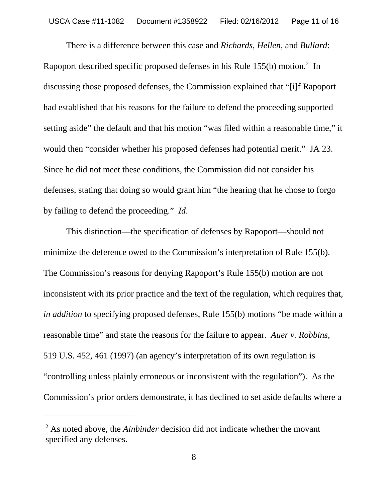There is a difference between this case and *Richards*, *Hellen*, and *Bullard*: Rapoport described specific proposed defenses in his Rule 155(b) motion.<sup>2</sup> In discussing those proposed defenses, the Commission explained that "[i]f Rapoport had established that his reasons for the failure to defend the proceeding supported setting aside" the default and that his motion "was filed within a reasonable time," it would then "consider whether his proposed defenses had potential merit." JA 23. Since he did not meet these conditions, the Commission did not consider his defenses, stating that doing so would grant him "the hearing that he chose to forgo by failing to defend the proceeding." *Id*.

This distinction—the specification of defenses by Rapoport—should not minimize the deference owed to the Commission's interpretation of Rule 155(b). The Commission's reasons for denying Rapoport's Rule 155(b) motion are not inconsistent with its prior practice and the text of the regulation, which requires that, *in addition* to specifying proposed defenses, Rule 155(b) motions "be made within a reasonable time" and state the reasons for the failure to appear. *Auer v. Robbins*, 519 U.S. 452, 461 (1997) (an agency's interpretation of its own regulation is "controlling unless plainly erroneous or inconsistent with the regulation"). As the Commission's prior orders demonstrate, it has declined to set aside defaults where a

<sup>2</sup> As noted above, the *Ainbinder* decision did not indicate whether the movant specified any defenses.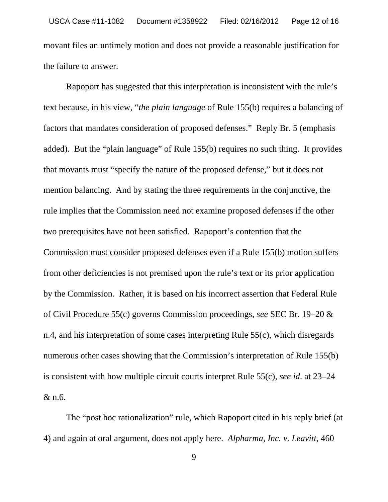movant files an untimely motion and does not provide a reasonable justification for the failure to answer.

Rapoport has suggested that this interpretation is inconsistent with the rule's text because, in his view, "*the plain language* of Rule 155(b) requires a balancing of factors that mandates consideration of proposed defenses." Reply Br. 5 (emphasis added). But the "plain language" of Rule 155(b) requires no such thing. It provides that movants must "specify the nature of the proposed defense," but it does not mention balancing. And by stating the three requirements in the conjunctive, the rule implies that the Commission need not examine proposed defenses if the other two prerequisites have not been satisfied. Rapoport's contention that the Commission must consider proposed defenses even if a Rule 155(b) motion suffers from other deficiencies is not premised upon the rule's text or its prior application by the Commission. Rather, it is based on his incorrect assertion that Federal Rule of Civil Procedure 55(c) governs Commission proceedings, *see* SEC Br. 19–20 & n.4, and his interpretation of some cases interpreting Rule 55(c), which disregards numerous other cases showing that the Commission's interpretation of Rule 155(b) is consistent with how multiple circuit courts interpret Rule 55(c), *see id*. at 23–24 & n.6.

The "post hoc rationalization" rule, which Rapoport cited in his reply brief (at 4) and again at oral argument, does not apply here. *Alpharma, Inc. v. Leavitt*, 460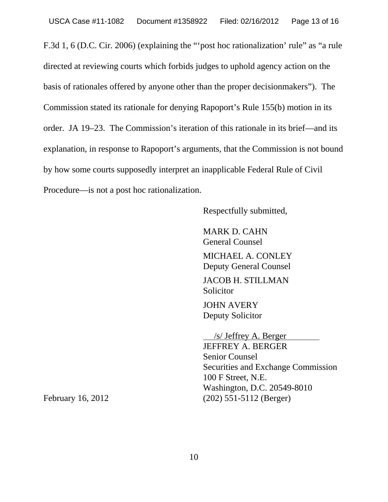F.3d 1, 6 (D.C. Cir. 2006) (explaining the "'post hoc rationalization' rule" as "a rule directed at reviewing courts which forbids judges to uphold agency action on the basis of rationales offered by anyone other than the proper decisionmakers"). The Commission stated its rationale for denying Rapoport's Rule 155(b) motion in its order. JA 19–23. The Commission's iteration of this rationale in its brief—and its explanation, in response to Rapoport's arguments, that the Commission is not bound by how some courts supposedly interpret an inapplicable Federal Rule of Civil Procedure—is not a post hoc rationalization.

Respectfully submitted,

MARK D. CAHN General Counsel MICHAEL A. CONLEY Deputy General Counsel JACOB H. STILLMAN Solicitor JOHN AVERY Deputy Solicitor

 /s/ Jeffrey A. Berger JEFFREY A. BERGER Senior Counsel Securities and Exchange Commission 100 F Street, N.E. Washington, D.C. 20549-8010 February 16, 2012 (202) 551-5112 (Berger)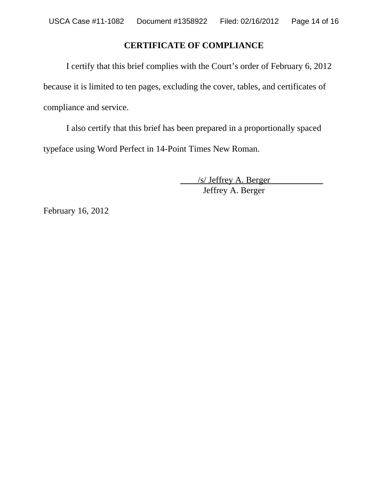# **CERTIFICATE OF COMPLIANCE**

I certify that this brief complies with the Court's order of February 6, 2012 because it is limited to ten pages, excluding the cover, tables, and certificates of compliance and service.

I also certify that this brief has been prepared in a proportionally spaced typeface using Word Perfect in 14-Point Times New Roman.

> /s/ Jeffrey A. Berger Jeffrey A. Berger

February 16, 2012